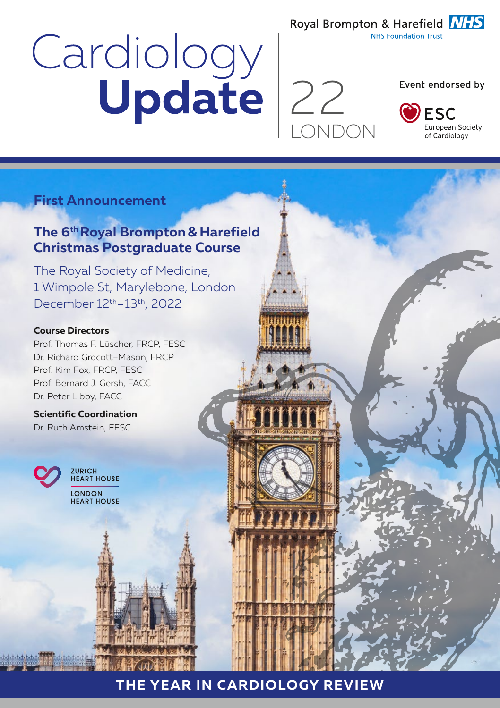# Cardiology<br>Update 22



Event endorsed by

Royal Brompton & Harefield **NHS NHS Foundation Trust** 



## **First Announcement**

# **The 6<sup>th</sup> Royal Brompton & Harefield Christmas Postgraduate Course**

The Royal Society of Medicine, 1 Wimpole St, Marylebone, London December 12th–13th, 2022

#### **Course Directors**

Prof. Thomas F. Lüscher, FRCP, FESC Dr. Richard Grocott–Mason, FRCP Prof. Kim Fox, FRCP, FESC Prof. Bernard J. Gersh, FACC Dr. Peter Libby, FACC

**Scientific Coordination** Dr. Ruth Amstein, FESC



**ZURICH HEART HOUSE** LONDON **HEART HOUSE** 

# **THE YEAR IN CARDIOLOGY REVIEW**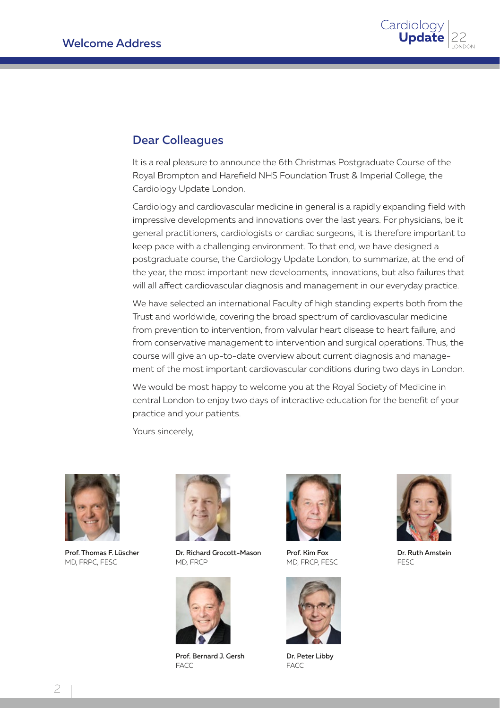

### Dear Colleagues

It is a real pleasure to announce the 6th Christmas Postgraduate Course of the Royal Brompton and Harefield NHS Foundation Trust & Imperial College, the Cardiology Update London.

Cardiology and cardiovascular medicine in general is a rapidly expanding field with impressive developments and innovations over the last years. For physicians, be it general practitioners, cardiologists or cardiac surgeons, it is therefore important to keep pace with a challenging environment. To that end, we have designed a postgraduate course, the Cardiology Update London, to summarize, at the end of the year, the most important new developments, innovations, but also failures that will all affect cardiovascular diagnosis and management in our everyday practice.

We have selected an international Faculty of high standing experts both from the Trust and worldwide, covering the broad spectrum of cardiovascular medicine from prevention to intervention, from valvular heart disease to heart failure, and from conservative management to intervention and surgical operations. Thus, the course will give an up-to-date overview about current diagnosis and management of the most important cardiovascular conditions during two days in London.

We would be most happy to welcome you at the Royal Society of Medicine in central London to enjoy two days of interactive education for the benefit of your practice and your patients.

Yours sincerely,



Prof. Thomas F.Lüscher MD, FRPC, FESC



Dr. Richard Grocott-Mason MD, FRCP



Prof. Bernard J. Gersh FACC



Prof. Kim Fox MD, FRCP, FESC



Dr. Peter Libby FACC



Dr. Ruth Amstein FESC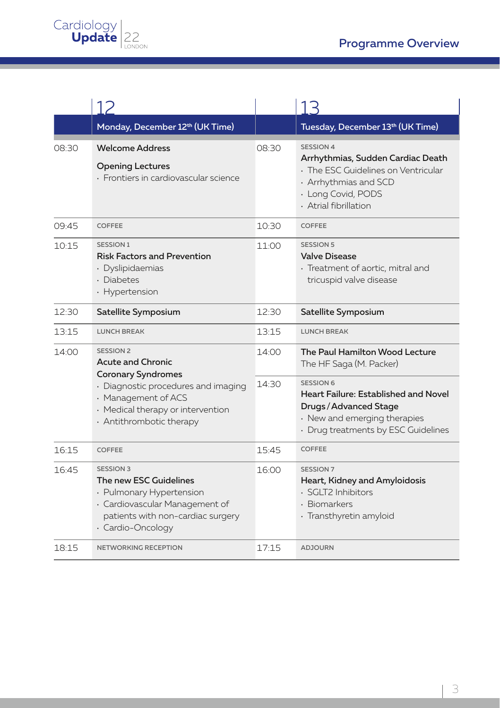|       | Monday, December 12 <sup>th</sup> (UK Time)                                                                                                                                                              |       | Tuesday, December 13 <sup>th</sup> (UK Time)                                                                                                                         |
|-------|----------------------------------------------------------------------------------------------------------------------------------------------------------------------------------------------------------|-------|----------------------------------------------------------------------------------------------------------------------------------------------------------------------|
| 08:30 | <b>Welcome Address</b><br><b>Opening Lectures</b><br>· Frontiers in cardiovascular science                                                                                                               | 08:30 | <b>SESSION 4</b><br>Arrhythmias, Sudden Cardiac Death<br>· The ESC Guidelines on Ventricular<br>· Arrhythmias and SCD<br>· Long Covid, PODS<br>· Atrial fibrillation |
| 09:45 | COFFEE                                                                                                                                                                                                   | 10:30 | <b>COFFEE</b>                                                                                                                                                        |
| 10:15 | <b>SESSION 1</b><br><b>Risk Factors and Prevention</b><br>· Dyslipidaemias<br>· Diabetes<br>· Hypertension                                                                                               | 11:00 | <b>SESSION 5</b><br><b>Valve Disease</b><br>· Treatment of aortic, mitral and<br>tricuspid valve disease                                                             |
| 12:30 | Satellite Symposium                                                                                                                                                                                      | 12:30 | Satellite Symposium                                                                                                                                                  |
| 13:15 | <b>LUNCH BREAK</b>                                                                                                                                                                                       | 13:15 | <b>LUNCH BREAK</b>                                                                                                                                                   |
| 14:00 | <b>SESSION 2</b><br><b>Acute and Chronic</b><br><b>Coronary Syndromes</b><br>· Diagnostic procedures and imaging<br>· Management of ACS<br>· Medical therapy or intervention<br>· Antithrombotic therapy | 14:00 | The Paul Hamilton Wood Lecture<br>The HF Saga (M. Packer)                                                                                                            |
|       |                                                                                                                                                                                                          | 14:30 | <b>SESSION 6</b><br>Heart Failure: Established and Novel<br>Drugs / Advanced Stage<br>· New and emerging therapies<br>· Drug treatments by ESC Guidelines            |
| 16:15 | <b>COFFEE</b>                                                                                                                                                                                            | 15:45 | COFFEE                                                                                                                                                               |
| 16:45 | <b>SESSION 3</b><br>The new ESC Guidelines<br>· Pulmonary Hypertension<br>· Cardiovascular Management of<br>patients with non-cardiac surgery<br>· Cardio-Oncology                                       | 16:00 | <b>SESSION 7</b><br>Heart, Kidney and Amyloidosis<br>· SGLT2 Inhibitors<br>· Biomarkers<br>· Transthyretin amyloid                                                   |
| 18:15 | <b>NETWORKING RECEPTION</b>                                                                                                                                                                              | 17:15 | <b>ADJOURN</b>                                                                                                                                                       |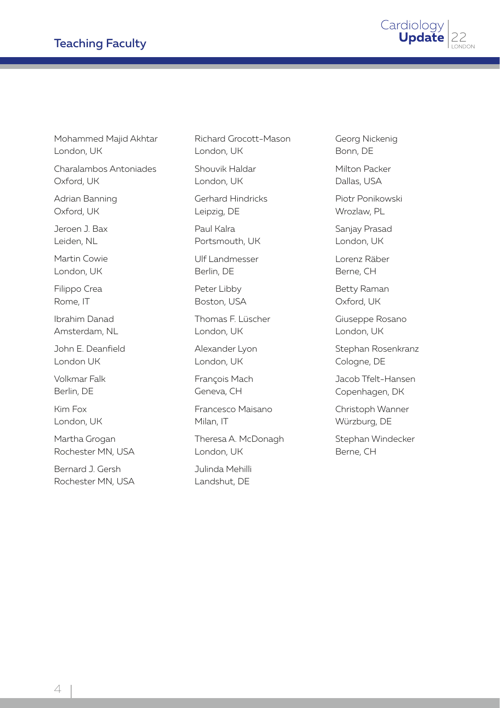

Mohammed Majid Akhtar London, UK

Charalambos Antoniades Oxford, UK

Adrian Banning Oxford, UK

Jeroen J. Bax Leiden, NL

Martin Cowie London, UK

Filippo Crea Rome, IT

Ibrahim Danad Amsterdam, NL

John E. Deanfield London UK

Volkmar Falk Berlin, DE

Kim Fox London, UK

Martha Grogan Rochester MN, USA

Bernard J. Gersh Rochester MN, USA

Richard Grocott-Mason London, UK

Shouvik Haldar London, UK

Gerhard Hindricks Leipzig, DE

Paul Kalra Portsmouth, UK

Ulf Landmesser Berlin, DE

Peter Libby Boston, USA

Thomas F. Lüscher London, UK

Alexander Lyon London, UK

François Mach Geneva, CH

Francesco Maisano Milan, IT

Theresa A. McDonagh London, UK

Julinda Mehilli Landshut, DE

Georg Nickenig Bonn, DE

Milton Packer Dallas, USA

Piotr Ponikowski Wrozlaw, PL

Sanjay Prasad London, UK

Lorenz Räber Berne, CH

Betty Raman Oxford, UK

Giuseppe Rosano London, UK

Stephan Rosenkranz Cologne, DE

Jacob Tfelt-Hansen Copenhagen, DK

Christoph Wanner Würzburg, DE

Stephan Windecker Berne, CH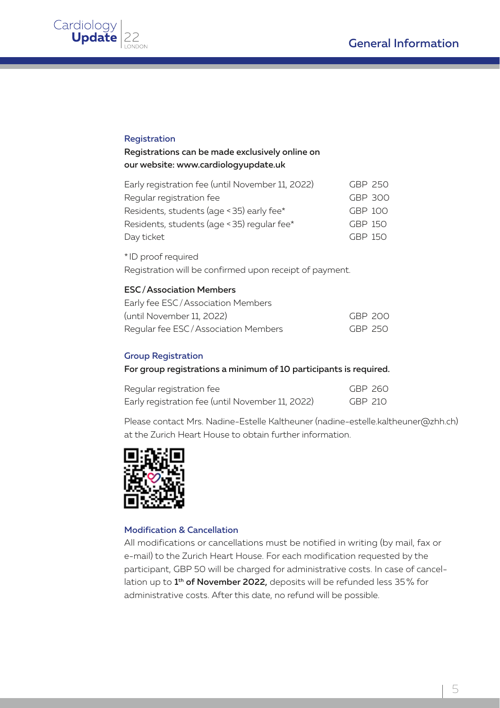

#### Registration

#### Registrations can be made exclusively online on our website: www.cardiologyupdate.uk

| Early registration fee (until November 11, 2022) | GBP 250 |  |
|--------------------------------------------------|---------|--|
| Regular registration fee                         | GBP 300 |  |
| Residents, students (age < 35) early fee*        | GBP 100 |  |
| Residents, students (age < 35) regular fee*      | GBP 150 |  |
| Day ticket                                       | GBP 150 |  |

\* ID proof required Registration will be confirmed upon receipt of payment.

#### ESC/Association Members

| Early fee ESC/Association Members   |         |  |
|-------------------------------------|---------|--|
| (until November 11, 2022)           | GBP 200 |  |
| Regular fee ESC/Association Members | GBP 250 |  |

#### Group Registration

#### For group registrations a minimum of 10 participants is required.

| Regular registration fee                         | GBP 260 |  |
|--------------------------------------------------|---------|--|
| Early registration fee (until November 11, 2022) | GBP 210 |  |

Please contact Mrs. Nadine-Estelle Kaltheuner (nadine-estelle.kaltheuner@zhh.ch) at the Zurich Heart House to obtain further information.



#### Modification & Cancellation

All modifications or cancellations must be notified in writing (by mail, fax or e-mail) to the Zurich Heart House. For each modification requested by the participant, GBP 50 will be charged for administrative costs. In case of cancellation up to 1<sup>th</sup> of November 2022, deposits will be refunded less 35% for administrative costs. After this date, no refund will be possible.